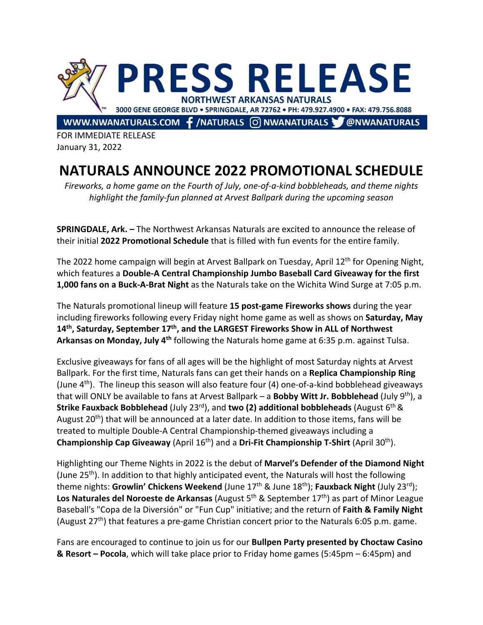

FOR IMMEDIATE RELEASE January 31, 2022

## **NATURALS ANNOUNCE 2022 PROMOTIONAL SCHEDULE**

*Fireworks, a home game on the Fourth of July, one-of-a-kind bobbleheads, and theme nights highlight the family-fun planned at Arvest Ballpark during the upcoming season*

**SPRINGDALE, Ark. –** The Northwest Arkansas Naturals are excited to announce the release of their initial **2022 Promotional Schedule** that is filled with fun events for the entire family.

The 2022 home campaign will begin at Arvest Ballpark on Tuesday, April 12<sup>th</sup> for Opening Night, which features a **Double-A Central Championship Jumbo Baseball Card Giveaway for the first 1,000 fans on a Buck-A-Brat Night** as the Naturals take on the Wichita Wind Surge at 7:05 p.m.

The Naturals promotional lineup will feature **15 post-game Fireworks shows** during the year including fireworks following every Friday night home game as well as shows on **Saturday, May 14th, Saturday, September 17th, and the LARGEST Fireworks Show in ALL of Northwest Arkansas on Monday, July 4th** following the Naturals home game at 6:35 p.m. against Tulsa.

Exclusive giveaways for fans of all ages will be the highlight of most Saturday nights at Arvest Ballpark. For the first time, Naturals fans can get their hands on a **Replica Championship Ring** (June  $4<sup>th</sup>$ ). The lineup this season will also feature four (4) one-of-a-kind bobblehead giveaways that will ONLY be available to fans at Arvest Ballpark – a **Bobby Witt Jr. Bobblehead** (July 9th), a **Strike Fauxback Bobblehead** (July 23rd), and **two (2) additional bobbleheads** (August 6th & August  $20^{th}$ ) that will be announced at a later date. In addition to those items, fans will be treated to multiple Double-A Central Championship-themed giveaways including a **Championship Cap Giveaway** (April 16<sup>th</sup>) and a Dri-Fit Championship T-Shirt (April 30<sup>th</sup>).

Highlighting our Theme Nights in 2022 is the debut of **Marvel's Defender of the Diamond Night**  (June 25<sup>th</sup>). In addition to that highly anticipated event, the Naturals will host the following theme nights: **Growlin' Chickens Weekend** (June 17<sup>th</sup> & June 18<sup>th</sup>); **Fauxback Night** (July 23<sup>rd</sup>); Los Naturales del Noroeste de Arkansas (August 5<sup>th</sup> & September 17<sup>th</sup>) as part of Minor League Baseball's "Copa de la Diversión" or "Fun Cup" initiative; and the return of **Faith & Family Night** (August 27<sup>th</sup>) that features a pre-game Christian concert prior to the Naturals 6:05 p.m. game.

Fans are encouraged to continue to join us for our **Bullpen Party presented by Choctaw Casino & Resort – Pocola**, which will take place prior to Friday home games (5:45pm – 6:45pm) and